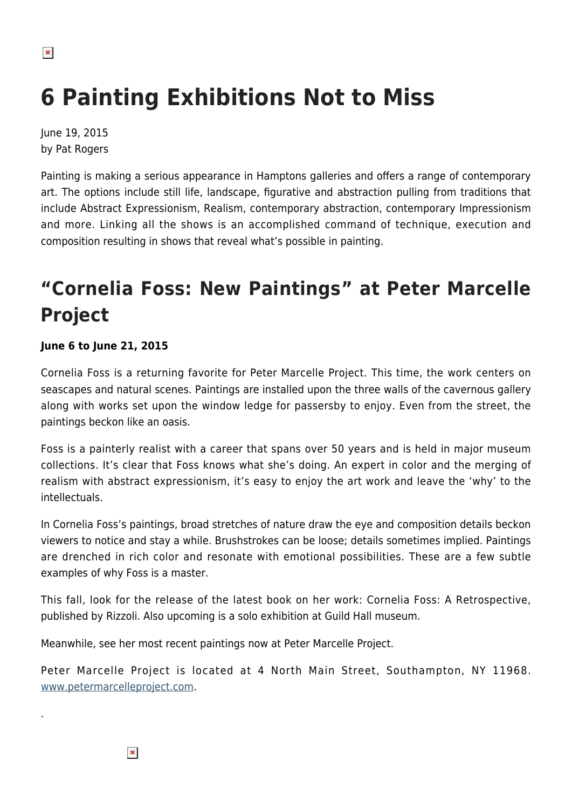$\pmb{\times}$ 

# **6 Painting Exhibitions Not to Miss**

June 19, 2015 by Pat Rogers

Painting is making a serious appearance in Hamptons galleries and offers a range of contemporary art. The options include still life, landscape, figurative and abstraction pulling from traditions that include Abstract Expressionism, Realism, contemporary abstraction, contemporary Impressionism and more. Linking all the shows is an accomplished command of technique, execution and composition resulting in shows that reveal what's possible in painting.

# **"Cornelia Foss: New Paintings" at Peter Marcelle Project**

### **June 6 to June 21, 2015**

Cornelia Foss is a returning favorite for Peter Marcelle Project. This time, the work centers on seascapes and natural scenes. Paintings are installed upon the three walls of the cavernous gallery along with works set upon the window ledge for passersby to enjoy. Even from the street, the paintings beckon like an oasis.

Foss is a painterly realist with a career that spans over 50 years and is held in major museum collections. It's clear that Foss knows what she's doing. An expert in color and the merging of realism with abstract expressionism, it's easy to enjoy the art work and leave the 'why' to the intellectuals.

In Cornelia Foss's paintings, broad stretches of nature draw the eye and composition details beckon viewers to notice and stay a while. Brushstrokes can be loose; details sometimes implied. Paintings are drenched in rich color and resonate with emotional possibilities. These are a few subtle examples of why Foss is a master.

This fall, look for the release of the latest book on her work: Cornelia Foss: A Retrospective, published by Rizzoli. Also upcoming is a solo exhibition at Guild Hall museum.

Meanwhile, see her most recent paintings now at Peter Marcelle Project.

Peter Marcelle Project is located at 4 North Main Street, Southampton, NY 11968. [www.petermarcelleproject.com.](http://www.petermarcelleproject.com)

 $\pmb{\times}$ 

.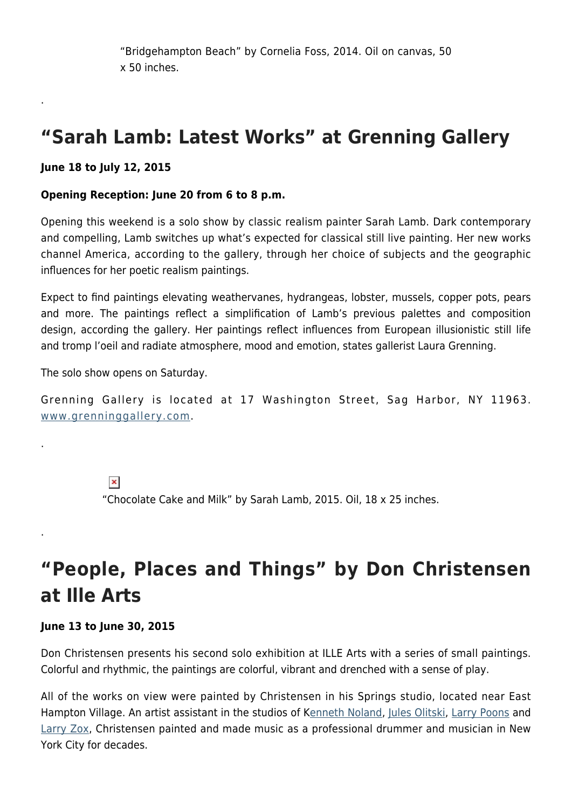"Bridgehampton Beach" by Cornelia Foss, 2014. Oil on canvas, 50 x 50 inches.

### **"Sarah Lamb: Latest Works" at Grenning Gallery**

### **June 18 to July 12, 2015**

.

.

.

### **Opening Reception: June 20 from 6 to 8 p.m.**

Opening this weekend is a solo show by classic realism painter Sarah Lamb. Dark contemporary and compelling, Lamb switches up what's expected for classical still live painting. Her new works channel America, according to the gallery, through her choice of subjects and the geographic influences for her poetic realism paintings.

Expect to find paintings elevating weathervanes, hydrangeas, lobster, mussels, copper pots, pears and more. The paintings reflect a simplification of Lamb's previous palettes and composition design, according the gallery. Her paintings reflect influences from European illusionistic still life and tromp l'oeil and radiate atmosphere, mood and emotion, states gallerist Laura Grenning.

The solo show opens on Saturday.

Grenning Gallery is located at 17 Washington Street, Sag Harbor, NY 11963. [www.grenninggallery.com](http://www.grenninggallery.com).

> $\pmb{\times}$ "Chocolate Cake and Milk" by Sarah Lamb, 2015. Oil, 18 x 25 inches.

# **"People, Places and Things" by Don Christensen at Ille Arts**

### **June 13 to June 30, 2015**

Don Christensen presents his second solo exhibition at ILLE Arts with a series of small paintings. Colorful and rhythmic, the paintings are colorful, vibrant and drenched with a sense of play.

All of the works on view were painted by Christensen in his Springs studio, located near East Hampton Village. An artist assistant in the studios of K[enneth Noland,](https://en.wikipedia.org/wiki/Kenneth_Noland) [Jules Olitski,](https://en.wikipedia.org/wiki/Jules_Olitski) [Larry Poons](https://en.wikipedia.org/wiki/Larry_Poons) and [Larry Zox,](https://en.wikipedia.org/wiki/Larry_Zox) Christensen painted and made music as a professional drummer and musician in New York City for decades.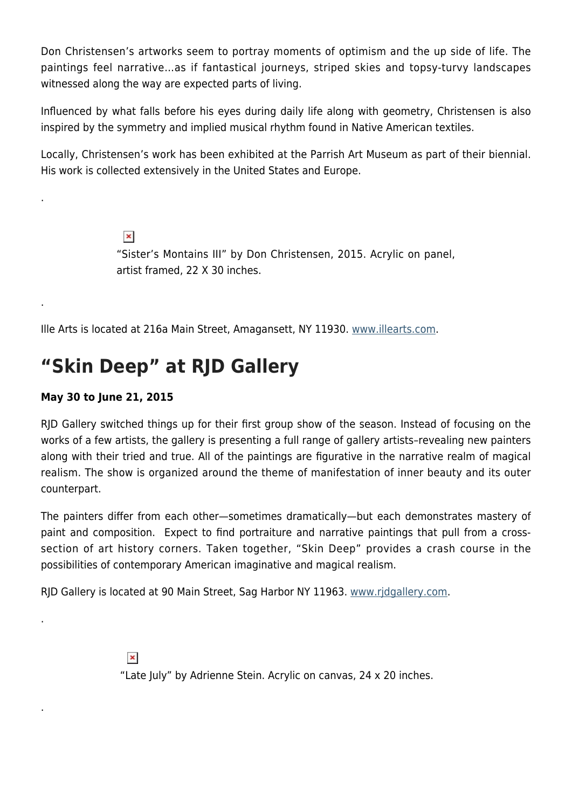Don Christensen's artworks seem to portray moments of optimism and the up side of life. The paintings feel narrative…as if fantastical journeys, striped skies and topsy-turvy landscapes witnessed along the way are expected parts of living.

Influenced by what falls before his eyes during daily life along with geometry, Christensen is also inspired by the symmetry and implied musical rhythm found in Native American textiles.

Locally, Christensen's work has been exhibited at the Parrish Art Museum as part of their biennial. His work is collected extensively in the United States and Europe.

> $\pmb{\times}$ "Sister's Montains III" by Don Christensen, 2015. Acrylic on panel, artist framed, 22 X 30 inches.

Ille Arts is located at 216a Main Street, Amagansett, NY 11930. [www.illearts.com.](http://www.illearts.com)

### **"Skin Deep" at RJD Gallery**

### **May 30 to June 21, 2015**

.

.

.

.

RJD Gallery switched things up for their first group show of the season. Instead of focusing on the works of a few artists, the gallery is presenting a full range of gallery artists–revealing new painters along with their tried and true. All of the paintings are figurative in the narrative realm of magical realism. The show is organized around the theme of manifestation of inner beauty and its outer counterpart.

The painters differ from each other—sometimes dramatically—but each demonstrates mastery of paint and composition. Expect to find portraiture and narrative paintings that pull from a crosssection of art history corners. Taken together, "Skin Deep" provides a crash course in the possibilities of contemporary American imaginative and magical realism.

RJD Gallery is located at 90 Main Street, Sag Harbor NY 11963. [www.rjdgallery.com.](http://www.rjdgallery.com)

 $\pmb{\times}$ "Late July" by Adrienne Stein. Acrylic on canvas, 24 x 20 inches.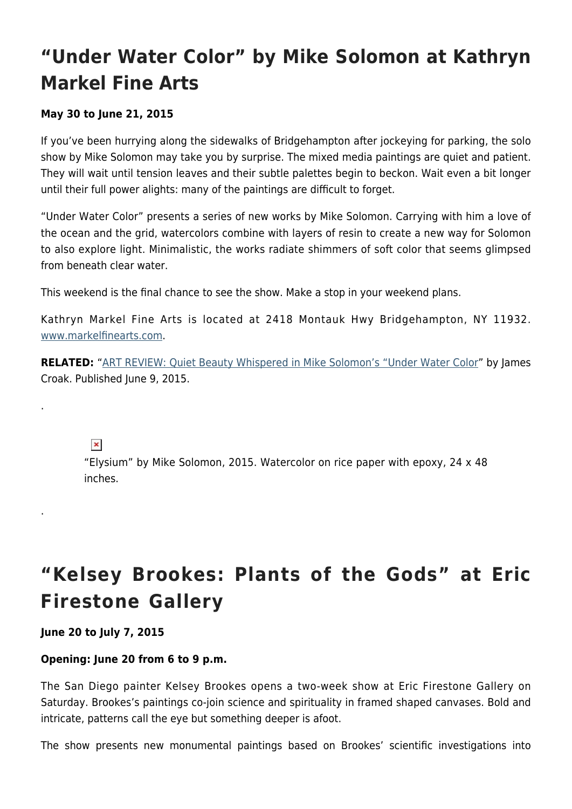## **"Under Water Color" by Mike Solomon at Kathryn Markel Fine Arts**

### **May 30 to June 21, 2015**

If you've been hurrying along the sidewalks of Bridgehampton after jockeying for parking, the solo show by Mike Solomon may take you by surprise. The mixed media paintings are quiet and patient. They will wait until tension leaves and their subtle palettes begin to beckon. Wait even a bit longer until their full power alights: many of the paintings are difficult to forget.

"Under Water Color" presents a series of new works by Mike Solomon. Carrying with him a love of the ocean and the grid, watercolors combine with layers of resin to create a new way for Solomon to also explore light. Minimalistic, the works radiate shimmers of soft color that seems glimpsed from beneath clear water.

This weekend is the final chance to see the show. Make a stop in your weekend plans.

Kathryn Markel Fine Arts is located at 2418 Montauk Hwy Bridgehampton, NY 11932. [www.markelfinearts.com](http://www.markelfinearts.com).

**RELATED:** "[ART REVIEW: Quiet Beauty Whispered in Mike Solomon's "Under Water Color](https://hamptonsarthub.com/2015/06/09/art-review-quiet-beauty-whispered-in-mike-solomons-under-water-color/)" by James Croak. Published June 9, 2015.

 $\pmb{\times}$ 

.

.

"Elysium" by Mike Solomon, 2015. Watercolor on rice paper with epoxy, 24 x 48 inches.

# **"Kelsey Brookes: Plants of the Gods" at Eric Firestone Gallery**

### **June 20 to July 7, 2015**

### **Opening: June 20 from 6 to 9 p.m.**

The San Diego painter Kelsey Brookes opens a two-week show at Eric Firestone Gallery on Saturday. Brookes's paintings co-join science and spirituality in framed shaped canvases. Bold and intricate, patterns call the eye but something deeper is afoot.

The show presents new monumental paintings based on Brookes' scientific investigations into